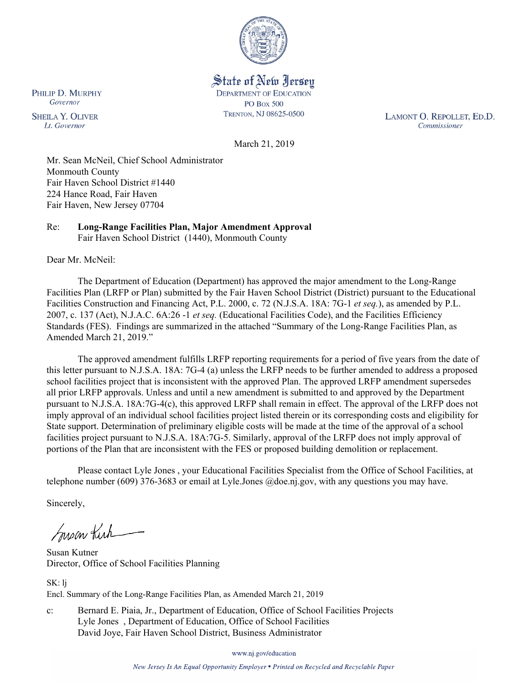

State of New Jersey **DEPARTMENT OF EDUCATION PO Box 500** TRENTON, NJ 08625-0500

LAMONT O. REPOLLET, ED.D. Commissioner

March 21, 2019

Mr. Sean McNeil, Chief School Administrator Monmouth County Fair Haven School District #1440 224 Hance Road, Fair Haven Fair Haven, New Jersey 07704

#### Re: **Long-Range Facilities Plan, Major Amendment Approval** Fair Haven School District (1440), Monmouth County

Dear Mr. McNeil:

The Department of Education (Department) has approved the major amendment to the Long-Range Facilities Plan (LRFP or Plan) submitted by the Fair Haven School District (District) pursuant to the Educational Facilities Construction and Financing Act, P.L. 2000, c. 72 (N.J.S.A. 18A: 7G-1 *et seq.*), as amended by P.L. 2007, c. 137 (Act), N.J.A.C. 6A:26 -1 *et seq.* (Educational Facilities Code), and the Facilities Efficiency Standards (FES). Findings are summarized in the attached "Summary of the Long-Range Facilities Plan, as Amended March 21, 2019."

The approved amendment fulfills LRFP reporting requirements for a period of five years from the date of this letter pursuant to N.J.S.A. 18A: 7G-4 (a) unless the LRFP needs to be further amended to address a proposed school facilities project that is inconsistent with the approved Plan. The approved LRFP amendment supersedes all prior LRFP approvals. Unless and until a new amendment is submitted to and approved by the Department pursuant to N.J.S.A. 18A:7G-4(c), this approved LRFP shall remain in effect. The approval of the LRFP does not imply approval of an individual school facilities project listed therein or its corresponding costs and eligibility for State support. Determination of preliminary eligible costs will be made at the time of the approval of a school facilities project pursuant to N.J.S.A. 18A:7G-5. Similarly, approval of the LRFP does not imply approval of portions of the Plan that are inconsistent with the FES or proposed building demolition or replacement.

Please contact Lyle Jones , your Educational Facilities Specialist from the Office of School Facilities, at telephone number (609) 376-3683 or email at Lyle.Jones @doe.nj.gov, with any questions you may have.

Sincerely,

Suscar Kirk

Susan Kutner Director, Office of School Facilities Planning

SK: lj Encl. Summary of the Long-Range Facilities Plan, as Amended March 21, 2019

c: Bernard E. Piaia, Jr., Department of Education, Office of School Facilities Projects Lyle Jones , Department of Education, Office of School Facilities David Joye, Fair Haven School District, Business Administrator

www.nj.gov/education

New Jersey Is An Equal Opportunity Employer . Printed on Recycled and Recyclable Paper

PHILIP D. MURPHY Governor

**SHEILA Y. OLIVER** Lt. Governor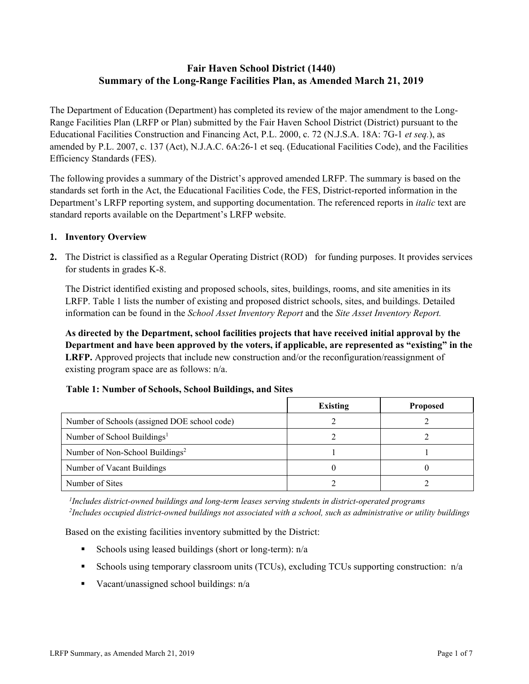# **Fair Haven School District (1440) Summary of the Long-Range Facilities Plan, as Amended March 21, 2019**

The Department of Education (Department) has completed its review of the major amendment to the Long-Range Facilities Plan (LRFP or Plan) submitted by the Fair Haven School District (District) pursuant to the Educational Facilities Construction and Financing Act, P.L. 2000, c. 72 (N.J.S.A. 18A: 7G-1 *et seq.*), as amended by P.L. 2007, c. 137 (Act), N.J.A.C. 6A:26-1 et seq. (Educational Facilities Code), and the Facilities Efficiency Standards (FES).

The following provides a summary of the District's approved amended LRFP. The summary is based on the standards set forth in the Act, the Educational Facilities Code, the FES, District-reported information in the Department's LRFP reporting system, and supporting documentation. The referenced reports in *italic* text are standard reports available on the Department's LRFP website.

### **1. Inventory Overview**

**2.** The District is classified as a Regular Operating District (ROD) for funding purposes. It provides services for students in grades K-8.

The District identified existing and proposed schools, sites, buildings, rooms, and site amenities in its LRFP. Table 1 lists the number of existing and proposed district schools, sites, and buildings. Detailed information can be found in the *School Asset Inventory Report* and the *Site Asset Inventory Report.*

**As directed by the Department, school facilities projects that have received initial approval by the Department and have been approved by the voters, if applicable, are represented as "existing" in the LRFP.** Approved projects that include new construction and/or the reconfiguration/reassignment of existing program space are as follows: n/a.

|                                              | <b>Existing</b> | <b>Proposed</b> |
|----------------------------------------------|-----------------|-----------------|
| Number of Schools (assigned DOE school code) |                 |                 |
| Number of School Buildings <sup>1</sup>      |                 |                 |
| Number of Non-School Buildings <sup>2</sup>  |                 |                 |
| Number of Vacant Buildings                   |                 |                 |
| Number of Sites                              |                 |                 |

# **Table 1: Number of Schools, School Buildings, and Sites**

*1 Includes district-owned buildings and long-term leases serving students in district-operated programs 2 Includes occupied district-owned buildings not associated with a school, such as administrative or utility buildings*

Based on the existing facilities inventory submitted by the District:

- Schools using leased buildings (short or long-term):  $n/a$
- Schools using temporary classroom units (TCUs), excluding TCUs supporting construction:  $n/a$
- Vacant/unassigned school buildings:  $n/a$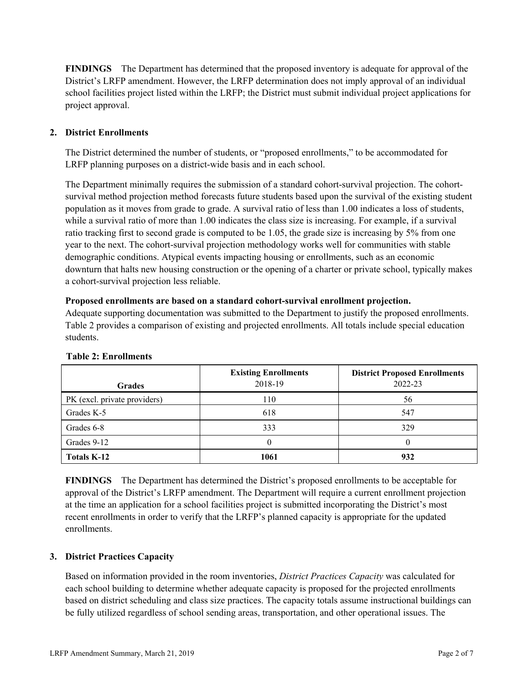**FINDINGS** The Department has determined that the proposed inventory is adequate for approval of the District's LRFP amendment. However, the LRFP determination does not imply approval of an individual school facilities project listed within the LRFP; the District must submit individual project applications for project approval.

# **2. District Enrollments**

The District determined the number of students, or "proposed enrollments," to be accommodated for LRFP planning purposes on a district-wide basis and in each school.

The Department minimally requires the submission of a standard cohort-survival projection. The cohortsurvival method projection method forecasts future students based upon the survival of the existing student population as it moves from grade to grade. A survival ratio of less than 1.00 indicates a loss of students, while a survival ratio of more than 1.00 indicates the class size is increasing. For example, if a survival ratio tracking first to second grade is computed to be 1.05, the grade size is increasing by 5% from one year to the next. The cohort-survival projection methodology works well for communities with stable demographic conditions. Atypical events impacting housing or enrollments, such as an economic downturn that halts new housing construction or the opening of a charter or private school, typically makes a cohort-survival projection less reliable.

#### **Proposed enrollments are based on a standard cohort-survival enrollment projection.**

Adequate supporting documentation was submitted to the Department to justify the proposed enrollments. Table 2 provides a comparison of existing and projected enrollments. All totals include special education students.

| <b>Grades</b>                | <b>Existing Enrollments</b><br>2018-19 | <b>District Proposed Enrollments</b><br>2022-23 |
|------------------------------|----------------------------------------|-------------------------------------------------|
| PK (excl. private providers) | 110                                    | 56                                              |
| Grades K-5                   | 618                                    | 547                                             |
| Grades 6-8                   | 333                                    | 329                                             |
| Grades 9-12                  |                                        | 0                                               |
| <b>Totals K-12</b>           | 1061                                   | 932                                             |

#### **Table 2: Enrollments**

**FINDINGS** The Department has determined the District's proposed enrollments to be acceptable for approval of the District's LRFP amendment. The Department will require a current enrollment projection at the time an application for a school facilities project is submitted incorporating the District's most recent enrollments in order to verify that the LRFP's planned capacity is appropriate for the updated enrollments.

# **3. District Practices Capacity**

Based on information provided in the room inventories, *District Practices Capacity* was calculated for each school building to determine whether adequate capacity is proposed for the projected enrollments based on district scheduling and class size practices. The capacity totals assume instructional buildings can be fully utilized regardless of school sending areas, transportation, and other operational issues. The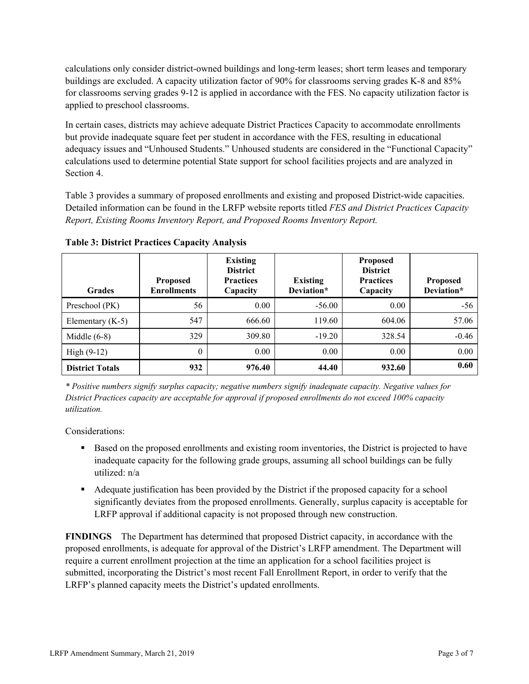calculations only consider district-owned buildings and long-term leases; short term leases and temporary buildings are excluded. A capacity utilization factor of 90% for classrooms serving grades K-8 and 85% for classrooms serving grades 9-12 is applied in accordance with the FES. No capacity utilization factor is applied to preschool classrooms.

In certain cases, districts may achieve adequate District Practices Capacity to accommodate enrollments but provide inadequate square feet per student in accordance with the FES, resulting in educational adequacy issues and "Unhoused Students." Unhoused students are considered in the "Functional Capacity" calculations used to determine potential State support for school facilities projects and are analyzed in Section 4.

Table 3 provides a summary of proposed enrollments and existing and proposed District-wide capacities. Detailed information can be found in the LRFP website reports titled *FES and District Practices Capacity Report, Existing Rooms Inventory Report, and Proposed Rooms Inventory Report.*

| <b>Grades</b>          | <b>Proposed</b><br><b>Enrollments</b> | <b>Existing</b><br><b>District</b><br><b>Practices</b><br>Capacity | <b>Existing</b><br>Deviation* | <b>Proposed</b><br><b>District</b><br><b>Practices</b><br>Capacity | <b>Proposed</b><br>Deviation* |
|------------------------|---------------------------------------|--------------------------------------------------------------------|-------------------------------|--------------------------------------------------------------------|-------------------------------|
| Preschool (PK)         | 56                                    | 0.00                                                               | $-56.00$                      | 0.00                                                               | $-56$                         |
| Elementary $(K-5)$     | 547                                   | 666.60                                                             | 119.60                        | 604.06                                                             | 57.06                         |
| Middle $(6-8)$         | 329                                   | 309.80                                                             | $-19.20$                      | 328.54                                                             | $-0.46$                       |
| High $(9-12)$          | $\theta$                              | 0.00                                                               | 0.00                          | 0.00                                                               | 0.00                          |
| <b>District Totals</b> | 932                                   | 976.40                                                             | 44.40                         | 932.60                                                             | 0.60                          |

**Table 3: District Practices Capacity Analysis**

*\* Positive numbers signify surplus capacity; negative numbers signify inadequate capacity. Negative values for District Practices capacity are acceptable for approval if proposed enrollments do not exceed 100% capacity utilization.*

Considerations:

- Based on the proposed enrollments and existing room inventories, the District is projected to have inadequate capacity for the following grade groups, assuming all school buildings can be fully utilized: n/a
- Adequate justification has been provided by the District if the proposed capacity for a school significantly deviates from the proposed enrollments. Generally, surplus capacity is acceptable for LRFP approval if additional capacity is not proposed through new construction.

**FINDINGS**The Department has determined that proposed District capacity, in accordance with the proposed enrollments, is adequate for approval of the District's LRFP amendment. The Department will require a current enrollment projection at the time an application for a school facilities project is submitted, incorporating the District's most recent Fall Enrollment Report, in order to verify that the LRFP's planned capacity meets the District's updated enrollments.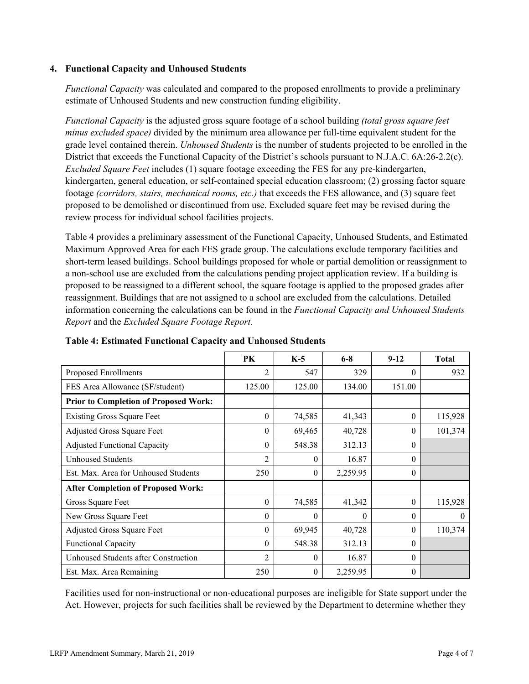### **4. Functional Capacity and Unhoused Students**

*Functional Capacity* was calculated and compared to the proposed enrollments to provide a preliminary estimate of Unhoused Students and new construction funding eligibility.

*Functional Capacity* is the adjusted gross square footage of a school building *(total gross square feet minus excluded space)* divided by the minimum area allowance per full-time equivalent student for the grade level contained therein. *Unhoused Students* is the number of students projected to be enrolled in the District that exceeds the Functional Capacity of the District's schools pursuant to N.J.A.C. 6A:26-2.2(c). *Excluded Square Feet* includes (1) square footage exceeding the FES for any pre-kindergarten, kindergarten, general education, or self-contained special education classroom; (2) grossing factor square footage *(corridors, stairs, mechanical rooms, etc.)* that exceeds the FES allowance, and (3) square feet proposed to be demolished or discontinued from use. Excluded square feet may be revised during the review process for individual school facilities projects.

Table 4 provides a preliminary assessment of the Functional Capacity, Unhoused Students, and Estimated Maximum Approved Area for each FES grade group. The calculations exclude temporary facilities and short-term leased buildings. School buildings proposed for whole or partial demolition or reassignment to a non-school use are excluded from the calculations pending project application review. If a building is proposed to be reassigned to a different school, the square footage is applied to the proposed grades after reassignment. Buildings that are not assigned to a school are excluded from the calculations. Detailed information concerning the calculations can be found in the *Functional Capacity and Unhoused Students Report* and the *Excluded Square Footage Report.*

|                                              | PK             | $K-5$    | $6 - 8$  | $9 - 12$ | <b>Total</b> |
|----------------------------------------------|----------------|----------|----------|----------|--------------|
| Proposed Enrollments                         | 2              | 547      | 329      | $\Omega$ | 932          |
| FES Area Allowance (SF/student)              | 125.00         | 125.00   | 134.00   | 151.00   |              |
| <b>Prior to Completion of Proposed Work:</b> |                |          |          |          |              |
| <b>Existing Gross Square Feet</b>            | $\theta$       | 74,585   | 41,343   | $\theta$ | 115,928      |
| Adjusted Gross Square Feet                   | 0              | 69,465   | 40,728   | $\theta$ | 101,374      |
| <b>Adjusted Functional Capacity</b>          | 0              | 548.38   | 312.13   | $\theta$ |              |
| <b>Unhoused Students</b>                     | 2              | $\theta$ | 16.87    | $\theta$ |              |
| Est. Max. Area for Unhoused Students         | 250            | $\theta$ | 2,259.95 | $\theta$ |              |
| <b>After Completion of Proposed Work:</b>    |                |          |          |          |              |
| Gross Square Feet                            | $\theta$       | 74,585   | 41,342   | $\theta$ | 115,928      |
| New Gross Square Feet                        | 0              | $\theta$ | $\Omega$ | $\theta$ | $\Omega$     |
| Adjusted Gross Square Feet                   | 0              | 69,945   | 40,728   | $\Omega$ | 110,374      |
| <b>Functional Capacity</b>                   | 0              | 548.38   | 312.13   | $\theta$ |              |
| Unhoused Students after Construction         | $\overline{c}$ | $\theta$ | 16.87    | $\Omega$ |              |
| Est. Max. Area Remaining                     | 250            | $\theta$ | 2,259.95 | $\theta$ |              |

**Table 4: Estimated Functional Capacity and Unhoused Students** 

Facilities used for non-instructional or non-educational purposes are ineligible for State support under the Act. However, projects for such facilities shall be reviewed by the Department to determine whether they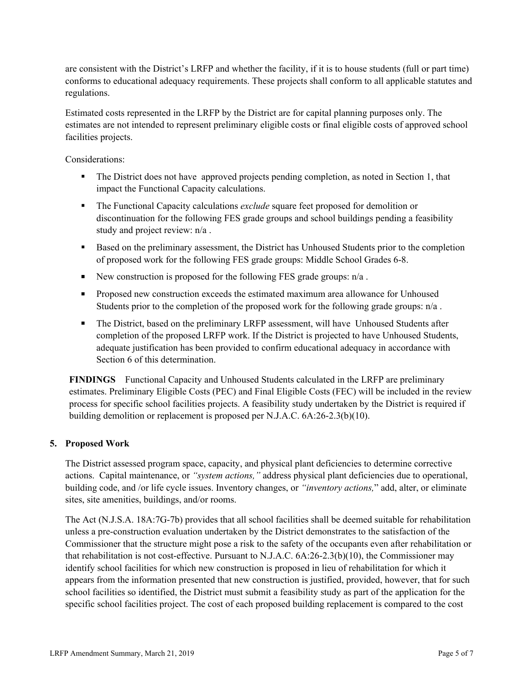are consistent with the District's LRFP and whether the facility, if it is to house students (full or part time) conforms to educational adequacy requirements. These projects shall conform to all applicable statutes and regulations.

Estimated costs represented in the LRFP by the District are for capital planning purposes only. The estimates are not intended to represent preliminary eligible costs or final eligible costs of approved school facilities projects.

Considerations:

- The District does not have approved projects pending completion, as noted in Section 1, that impact the Functional Capacity calculations.
- The Functional Capacity calculations *exclude* square feet proposed for demolition or discontinuation for the following FES grade groups and school buildings pending a feasibility study and project review: n/a .
- Based on the preliminary assessment, the District has Unhoused Students prior to the completion of proposed work for the following FES grade groups: Middle School Grades 6-8.
- New construction is proposed for the following FES grade groups:  $n/a$ .
- **Proposed new construction exceeds the estimated maximum area allowance for Unhoused** Students prior to the completion of the proposed work for the following grade groups: n/a .
- The District, based on the preliminary LRFP assessment, will have Unhoused Students after completion of the proposed LRFP work. If the District is projected to have Unhoused Students, adequate justification has been provided to confirm educational adequacy in accordance with Section 6 of this determination.

**FINDINGS** Functional Capacity and Unhoused Students calculated in the LRFP are preliminary estimates. Preliminary Eligible Costs (PEC) and Final Eligible Costs (FEC) will be included in the review process for specific school facilities projects. A feasibility study undertaken by the District is required if building demolition or replacement is proposed per N.J.A.C. 6A:26-2.3(b)(10).

### **5. Proposed Work**

The District assessed program space, capacity, and physical plant deficiencies to determine corrective actions. Capital maintenance, or *"system actions,"* address physical plant deficiencies due to operational, building code, and /or life cycle issues. Inventory changes, or *"inventory actions,*" add, alter, or eliminate sites, site amenities, buildings, and/or rooms.

The Act (N.J.S.A. 18A:7G-7b) provides that all school facilities shall be deemed suitable for rehabilitation unless a pre-construction evaluation undertaken by the District demonstrates to the satisfaction of the Commissioner that the structure might pose a risk to the safety of the occupants even after rehabilitation or that rehabilitation is not cost-effective. Pursuant to N.J.A.C. 6A:26-2.3(b)(10), the Commissioner may identify school facilities for which new construction is proposed in lieu of rehabilitation for which it appears from the information presented that new construction is justified, provided, however, that for such school facilities so identified, the District must submit a feasibility study as part of the application for the specific school facilities project. The cost of each proposed building replacement is compared to the cost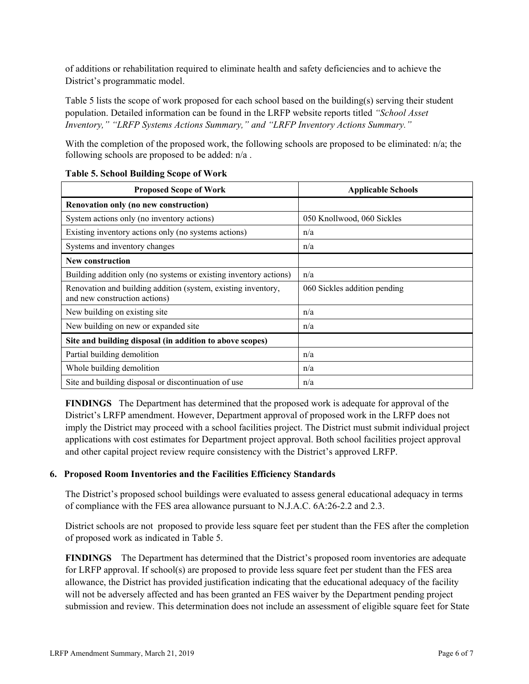of additions or rehabilitation required to eliminate health and safety deficiencies and to achieve the District's programmatic model.

Table 5 lists the scope of work proposed for each school based on the building(s) serving their student population. Detailed information can be found in the LRFP website reports titled *"School Asset Inventory," "LRFP Systems Actions Summary," and "LRFP Inventory Actions Summary."*

With the completion of the proposed work, the following schools are proposed to be eliminated: n/a; the following schools are proposed to be added: n/a .

| <b>Proposed Scope of Work</b>                                                                  | <b>Applicable Schools</b>    |
|------------------------------------------------------------------------------------------------|------------------------------|
| Renovation only (no new construction)                                                          |                              |
| System actions only (no inventory actions)                                                     | 050 Knollwood, 060 Sickles   |
| Existing inventory actions only (no systems actions)                                           | n/a                          |
| Systems and inventory changes                                                                  | n/a                          |
| <b>New construction</b>                                                                        |                              |
| Building addition only (no systems or existing inventory actions)                              | n/a                          |
| Renovation and building addition (system, existing inventory,<br>and new construction actions) | 060 Sickles addition pending |
| New building on existing site                                                                  | n/a                          |
| New building on new or expanded site                                                           | n/a                          |
| Site and building disposal (in addition to above scopes)                                       |                              |
| Partial building demolition                                                                    | n/a                          |
| Whole building demolition                                                                      | n/a                          |
| Site and building disposal or discontinuation of use                                           | n/a                          |

### **Table 5. School Building Scope of Work**

**FINDINGS** The Department has determined that the proposed work is adequate for approval of the District's LRFP amendment. However, Department approval of proposed work in the LRFP does not imply the District may proceed with a school facilities project. The District must submit individual project applications with cost estimates for Department project approval. Both school facilities project approval and other capital project review require consistency with the District's approved LRFP.

# **6. Proposed Room Inventories and the Facilities Efficiency Standards**

The District's proposed school buildings were evaluated to assess general educational adequacy in terms of compliance with the FES area allowance pursuant to N.J.A.C. 6A:26-2.2 and 2.3.

District schools are not proposed to provide less square feet per student than the FES after the completion of proposed work as indicated in Table 5.

**FINDINGS** The Department has determined that the District's proposed room inventories are adequate for LRFP approval. If school(s) are proposed to provide less square feet per student than the FES area allowance, the District has provided justification indicating that the educational adequacy of the facility will not be adversely affected and has been granted an FES waiver by the Department pending project submission and review. This determination does not include an assessment of eligible square feet for State